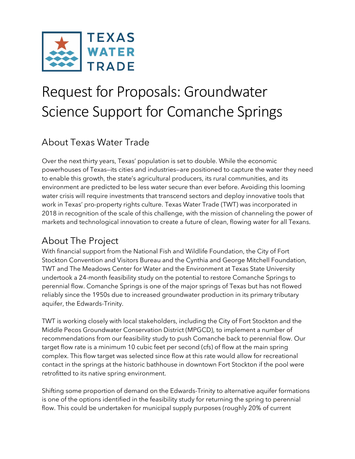

# Request for Proposals: Groundwater Science Support for Comanche Springs

## About Texas Water Trade

Over the next thirty years, Texas' population is set to double. While the economic powerhouses of Texas—its cities and industries—are positioned to capture the water they need to enable this growth, the state's agricultural producers, its rural communities, and its environment are predicted to be less water secure than ever before. Avoiding this looming water crisis will require investments that transcend sectors and deploy innovative tools that work in Texas' pro-property rights culture. Texas Water Trade (TWT) was incorporated in 2018 in recognition of the scale of this challenge, with the mission of channeling the power of markets and technological innovation to create a future of clean, flowing water for all Texans.

## About The Project

With financial support from the National Fish and Wildlife Foundation, the City of Fort Stockton Convention and Visitors Bureau and the Cynthia and George Mitchell Foundation, TWT and The Meadows Center for Water and the Environment at Texas State University undertook a 24-month feasibility study on the potential to restore Comanche Springs to perennial flow. Comanche Springs is one of the major springs of Texas but has not flowed reliably since the 1950s due to increased groundwater production in its primary tributary aquifer, the Edwards-Trinity.

TWT is working closely with local stakeholders, including the City of Fort Stockton and the Middle Pecos Groundwater Conservation District (MPGCD), to implement a number of recommendations from our feasibility study to push Comanche back to perennial flow. Our target flow rate is a minimum 10 cubic feet per second (cfs) of flow at the main spring complex. This flow target was selected since flow at this rate would allow for recreational contact in the springs at the historic bathhouse in downtown Fort Stockton if the pool were retrofitted to its native spring environment.

Shifting some proportion of demand on the Edwards-Trinity to alternative aquifer formations is one of the options identified in the feasibility study for returning the spring to perennial flow. This could be undertaken for municipal supply purposes (roughly 20% of current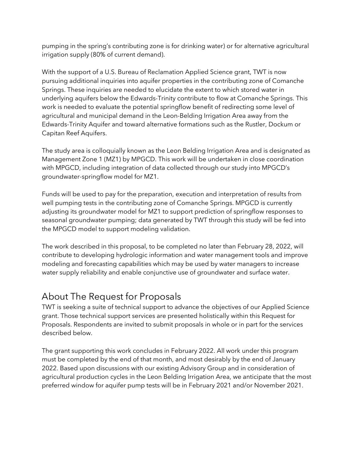pumping in the spring's contributing zone is for drinking water) or for alternative agricultural irrigation supply (80% of current demand).

With the support of a U.S. Bureau of Reclamation Applied Science grant, TWT is now pursuing additional inquiries into aquifer properties in the contributing zone of Comanche Springs. These inquiries are needed to elucidate the extent to which stored water in underlying aquifers below the Edwards-Trinity contribute to flow at Comanche Springs. This work is needed to evaluate the potential springflow benefit of redirecting some level of agricultural and municipal demand in the Leon-Belding Irrigation Area away from the Edwards-Trinity Aquifer and toward alternative formations such as the Rustler, Dockum or Capitan Reef Aquifers.

The study area is colloquially known as the Leon Belding Irrigation Area and is designated as Management Zone 1 (MZ1) by MPGCD. This work will be undertaken in close coordination with MPGCD, including integration of data collected through our study into MPGCD's groundwater-springflow model for MZ1.

Funds will be used to pay for the preparation, execution and interpretation of results from well pumping tests in the contributing zone of Comanche Springs. MPGCD is currently adjusting its groundwater model for MZ1 to support prediction of springflow responses to seasonal groundwater pumping; data generated by TWT through this study will be fed into the MPGCD model to support modeling validation.

The work described in this proposal, to be completed no later than February 28, 2022, will contribute to developing hydrologic information and water management tools and improve modeling and forecasting capabilities which may be used by water managers to increase water supply reliability and enable conjunctive use of groundwater and surface water.

## About The Request for Proposals

TWT is seeking a suite of technical support to advance the objectives of our Applied Science grant. Those technical support services are presented holistically within this Request for Proposals. Respondents are invited to submit proposals in whole or in part for the services described below.

The grant supporting this work concludes in February 2022. All work under this program must be completed by the end of that month, and most desirably by the end of January 2022. Based upon discussions with our existing Advisory Group and in consideration of agricultural production cycles in the Leon Belding Irrigation Area, we anticipate that the most preferred window for aquifer pump tests will be in February 2021 and/or November 2021.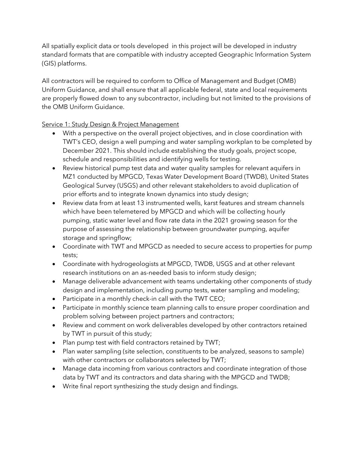All spatially explicit data or tools developed in this project will be developed in industry standard formats that are compatible with industry accepted Geographic Information System (GIS) platforms.

All contractors will be required to conform to Office of Management and Budget (OMB) Uniform Guidance, and shall ensure that all applicable federal, state and local requirements are properly flowed down to any subcontractor, including but not limited to the provisions of the OMB Uniform Guidance.

#### Service 1: Study Design & Project Management

- With a perspective on the overall project objectives, and in close coordination with TWT's CEO, design a well pumping and water sampling workplan to be completed by December 2021. This should include establishing the study goals, project scope, schedule and responsibilities and identifying wells for testing.
- Review historical pump test data and water quality samples for relevant aquifers in MZ1 conducted by MPGCD, Texas Water Development Board (TWDB), United States Geological Survey (USGS) and other relevant stakeholders to avoid duplication of prior efforts and to integrate known dynamics into study design;
- Review data from at least 13 instrumented wells, karst features and stream channels which have been telemetered by MPGCD and which will be collecting hourly pumping, static water level and flow rate data in the 2021 growing season for the purpose of assessing the relationship between groundwater pumping, aquifer storage and springflow;
- Coordinate with TWT and MPGCD as needed to secure access to properties for pump tests;
- Coordinate with hydrogeologists at MPGCD, TWDB, USGS and at other relevant research institutions on an as-needed basis to inform study design;
- Manage deliverable advancement with teams undertaking other components of study design and implementation, including pump tests, water sampling and modeling;
- Participate in a monthly check-in call with the TWT CEO;
- Participate in monthly science team planning calls to ensure proper coordination and problem solving between project partners and contractors;
- Review and comment on work deliverables developed by other contractors retained by TWT in pursuit of this study;
- Plan pump test with field contractors retained by TWT;
- Plan water sampling (site selection, constituents to be analyzed, seasons to sample) with other contractors or collaborators selected by TWT;
- Manage data incoming from various contractors and coordinate integration of those data by TWT and its contractors and data sharing with the MPGCD and TWDB;
- Write final report synthesizing the study design and findings.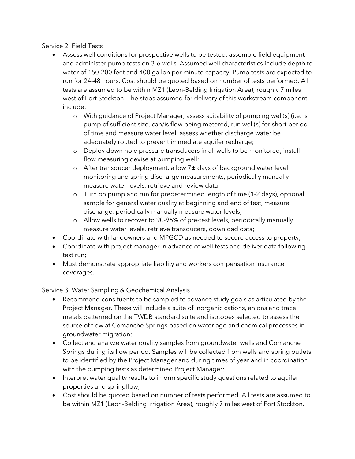#### Service 2: Field Tests

- Assess well conditions for prospective wells to be tested, assemble field equipment and administer pump tests on 3-6 wells. Assumed well characteristics include depth to water of 150-200 feet and 400 gallon per minute capacity. Pump tests are expected to run for 24-48 hours. Cost should be quoted based on number of tests performed. All tests are assumed to be within MZ1 (Leon-Belding Irrigation Area), roughly 7 miles west of Fort Stockton. The steps assumed for delivery of this workstream component include:
	- o With guidance of Project Manager, assess suitability of pumping well(s) (i.e. is pump of sufficient size, can/is flow being metered, run well(s) for short period of time and measure water level, assess whether discharge water be adequately routed to prevent immediate aquifer recharge;
	- o Deploy down hole pressure transducers in all wells to be monitored, install flow measuring devise at pumping well;
	- o After transducer deployment, allow 7± days of background water level monitoring and spring discharge measurements, periodically manually measure water levels, retrieve and review data;
	- o Turn on pump and run for predetermined length of time (1-2 days), optional sample for general water quality at beginning and end of test, measure discharge, periodically manually measure water levels;
	- o Allow wells to recover to 90-95% of pre-test levels, periodically manually measure water levels, retrieve transducers, download data;
- Coordinate with landowners and MPGCD as needed to secure access to property;
- Coordinate with project manager in advance of well tests and deliver data following test run;
- Must demonstrate appropriate liability and workers compensation insurance coverages.

### Service 3: Water Sampling & Geochemical Analysis

- Recommend consituents to be sampled to advance study goals as articulated by the Project Manager. These will include a suite of inorganic cations, anions and trace metals patterned on the TWDB standard suite and isotopes selected to assess the source of flow at Comanche Springs based on water age and chemical processes in groundwater migration;
- Collect and analyze water quality samples from groundwater wells and Comanche Springs during its flow period. Samples will be collected from wells and spring outlets to be identified by the Project Manager and during times of year and in coordination with the pumping tests as determined Project Manager;
- Interpret water quality results to inform specific study questions related to aquifer properties and springflow;
- Cost should be quoted based on number of tests performed. All tests are assumed to be within MZ1 (Leon-Belding Irrigation Area), roughly 7 miles west of Fort Stockton.